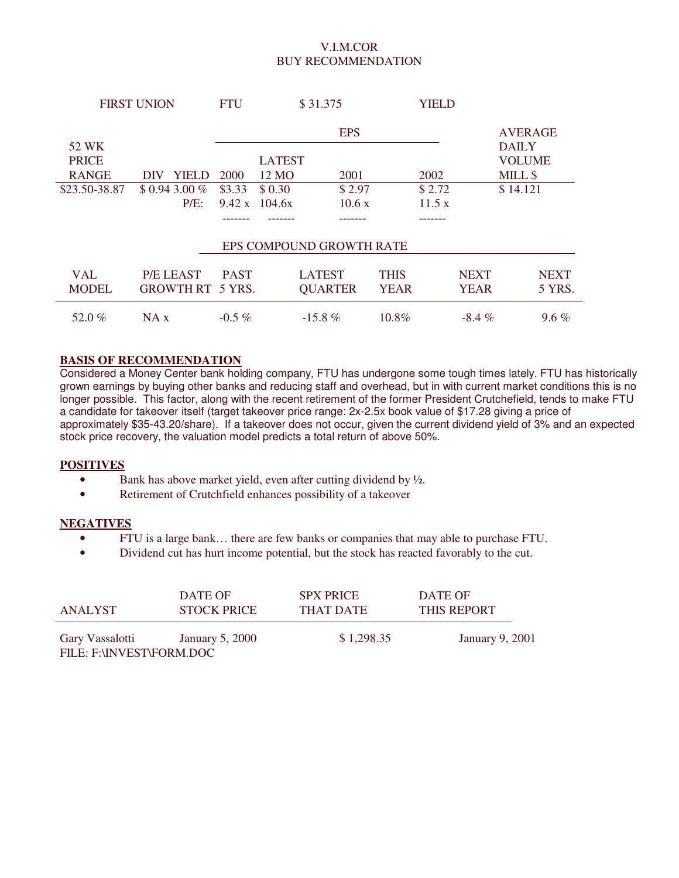## V.I.M.COR BUY RECOMMENDATION

| <b>FIRST UNION</b>    |                         | \$31.375<br><b>FTU</b> |               |                          |             | YIELD  |             |                               |
|-----------------------|-------------------------|------------------------|---------------|--------------------------|-------------|--------|-------------|-------------------------------|
|                       |                         |                        |               | <b>EPS</b>               |             |        |             | <b>AVERAGE</b>                |
| 52 WK<br><b>PRICE</b> |                         |                        | <b>LATEST</b> |                          |             |        |             | <b>DAILY</b><br><b>VOLUME</b> |
|                       |                         |                        |               |                          |             |        |             |                               |
| <b>RANGE</b>          | YIELD<br>DIV            | 2000                   | 12 MO         | 2001                     |             | 2002   |             | MILL \$                       |
| \$23.50-38.87         | $$0.943.00\%$           | \$3.33                 | \$ 0.30       | \$2.97                   |             | \$2.72 |             | \$14.121                      |
|                       | $P/E$ :                 | 9.42 x                 | 104.6x        | 10.6x                    |             | 11.5 x |             |                               |
|                       |                         |                        |               |                          |             |        |             |                               |
|                       |                         |                        |               | EPS COMPOUND GROWTH RATE |             |        |             |                               |
| <b>VAL</b>            | P/E LEAST               | <b>PAST</b>            |               | <b>LATEST</b>            | <b>THIS</b> |        | <b>NEXT</b> | <b>NEXT</b>                   |
| <b>MODEL</b>          | <b>GROWTH RT 5 YRS.</b> |                        |               | <b>QUARTER</b>           | <b>YEAR</b> |        | <b>YEAR</b> | 5 YRS.                        |
| 52.0 $%$              | NA x                    | $-0.5\%$               |               | $-15.8\%$                | $10.8\%$    |        | $-8.4\%$    | $9.6\%$                       |

## **BASIS OF RECOMMENDATION**

Considered a Money Center bank holding company, FTU has undergone some tough times lately. FTU has historically grown earnings by buying other banks and reducing staff and overhead, but in with current market conditions this is no longer possible. This factor, along with the recent retirement of the former President Crutchefield, tends to make FTU a candidate for takeover itself (target takeover price range: 2x-2.5x book value of \$17.28 giving a price of approximately \$35-43.20/share). If a takeover does not occur, given the current dividend yield of 3% and an expected stock price recovery, the valuation model predicts a total return of above 50%.

#### **POSITIVES**

- Bank has above market yield, even after cutting dividend by  $\frac{1}{2}$ .
- Retirement of Crutchfield enhances possibility of a takeover

#### **NEGATIVES**

- FTU is a large bank… there are few banks or companies that may able to purchase FTU.
- Dividend cut has hurt income potential, but the stock has reacted favorably to the cut.

| ANALYST                                     | DATE OF            | <b>SPX PRICE</b> | DATE OF                |
|---------------------------------------------|--------------------|------------------|------------------------|
|                                             | <b>STOCK PRICE</b> | THAT DATE        | <b>THIS REPORT</b>     |
| Gary Vassalotti<br>FILE: F:\INVEST\FORM.DOC | January 5, 2000    | \$1,298.35       | <b>January 9, 2001</b> |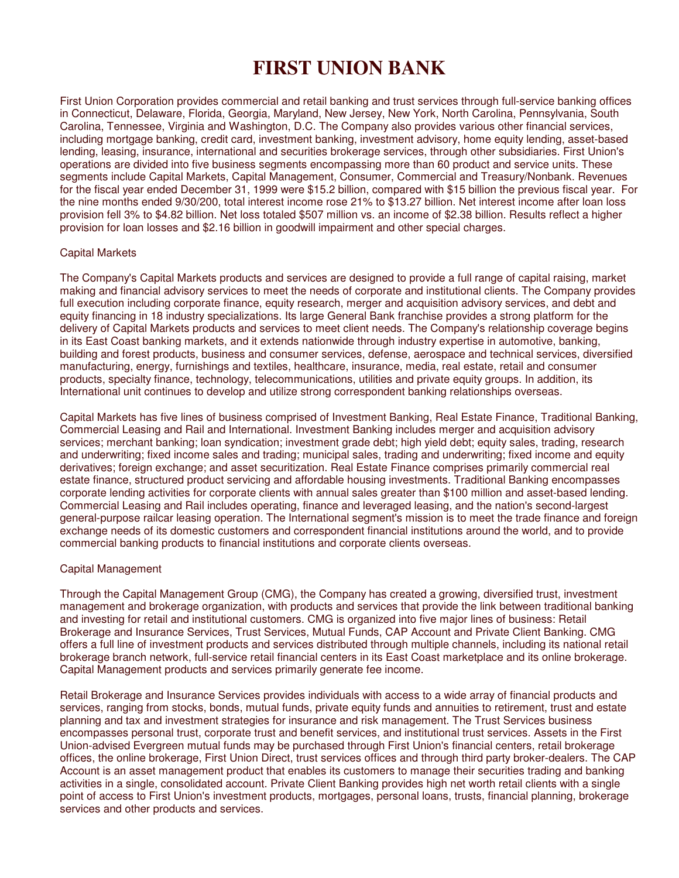# **FIRST UNION BANK**

First Union Corporation provides commercial and retail banking and trust services through full-service banking offices in Connecticut, Delaware, Florida, Georgia, Maryland, New Jersey, New York, North Carolina, Pennsylvania, South Carolina, Tennessee, Virginia and Washington, D.C. The Company also provides various other financial services, including mortgage banking, credit card, investment banking, investment advisory, home equity lending, asset-based lending, leasing, insurance, international and securities brokerage services, through other subsidiaries. First Union's operations are divided into five business segments encompassing more than 60 product and service units. These segments include Capital Markets, Capital Management, Consumer, Commercial and Treasury/Nonbank. Revenues for the fiscal year ended December 31, 1999 were \$15.2 billion, compared with \$15 billion the previous fiscal year. For the nine months ended 9/30/200, total interest income rose 21% to \$13.27 billion. Net interest income after loan loss provision fell 3% to \$4.82 billion. Net loss totaled \$507 million vs. an income of \$2.38 billion. Results reflect a higher provision for loan losses and \$2.16 billion in goodwill impairment and other special charges.

#### Capital Markets

The Company's Capital Markets products and services are designed to provide a full range of capital raising, market making and financial advisory services to meet the needs of corporate and institutional clients. The Company provides full execution including corporate finance, equity research, merger and acquisition advisory services, and debt and equity financing in 18 industry specializations. Its large General Bank franchise provides a strong platform for the delivery of Capital Markets products and services to meet client needs. The Company's relationship coverage begins in its East Coast banking markets, and it extends nationwide through industry expertise in automotive, banking, building and forest products, business and consumer services, defense, aerospace and technical services, diversified manufacturing, energy, furnishings and textiles, healthcare, insurance, media, real estate, retail and consumer products, specialty finance, technology, telecommunications, utilities and private equity groups. In addition, its International unit continues to develop and utilize strong correspondent banking relationships overseas.

Capital Markets has five lines of business comprised of Investment Banking, Real Estate Finance, Traditional Banking, Commercial Leasing and Rail and International. Investment Banking includes merger and acquisition advisory services; merchant banking; loan syndication; investment grade debt; high yield debt; equity sales, trading, research and underwriting; fixed income sales and trading; municipal sales, trading and underwriting; fixed income and equity derivatives; foreign exchange; and asset securitization. Real Estate Finance comprises primarily commercial real estate finance, structured product servicing and affordable housing investments. Traditional Banking encompasses corporate lending activities for corporate clients with annual sales greater than \$100 million and asset-based lending. Commercial Leasing and Rail includes operating, finance and leveraged leasing, and the nation's second-largest general-purpose railcar leasing operation. The International segment's mission is to meet the trade finance and foreign exchange needs of its domestic customers and correspondent financial institutions around the world, and to provide commercial banking products to financial institutions and corporate clients overseas.

#### Capital Management

Through the Capital Management Group (CMG), the Company has created a growing, diversified trust, investment management and brokerage organization, with products and services that provide the link between traditional banking and investing for retail and institutional customers. CMG is organized into five major lines of business: Retail Brokerage and Insurance Services, Trust Services, Mutual Funds, CAP Account and Private Client Banking. CMG offers a full line of investment products and services distributed through multiple channels, including its national retail brokerage branch network, full-service retail financial centers in its East Coast marketplace and its online brokerage. Capital Management products and services primarily generate fee income.

Retail Brokerage and Insurance Services provides individuals with access to a wide array of financial products and services, ranging from stocks, bonds, mutual funds, private equity funds and annuities to retirement, trust and estate planning and tax and investment strategies for insurance and risk management. The Trust Services business encompasses personal trust, corporate trust and benefit services, and institutional trust services. Assets in the First Union-advised Evergreen mutual funds may be purchased through First Union's financial centers, retail brokerage offices, the online brokerage, First Union Direct, trust services offices and through third party broker-dealers. The CAP Account is an asset management product that enables its customers to manage their securities trading and banking activities in a single, consolidated account. Private Client Banking provides high net worth retail clients with a single point of access to First Union's investment products, mortgages, personal loans, trusts, financial planning, brokerage services and other products and services.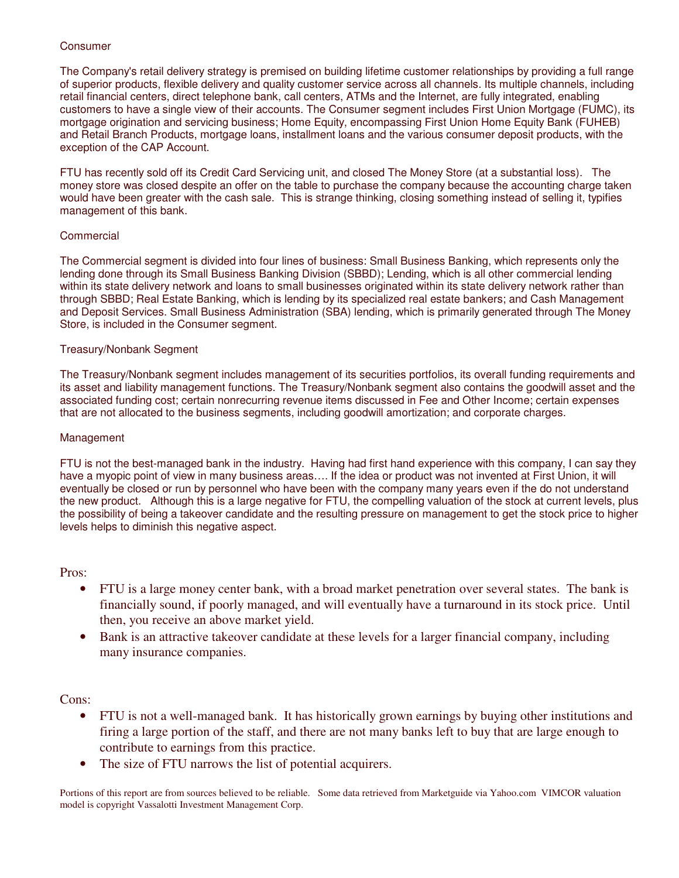### Consumer

The Company's retail delivery strategy is premised on building lifetime customer relationships by providing a full range of superior products, flexible delivery and quality customer service across all channels. Its multiple channels, including retail financial centers, direct telephone bank, call centers, ATMs and the Internet, are fully integrated, enabling customers to have a single view of their accounts. The Consumer segment includes First Union Mortgage (FUMC), its mortgage origination and servicing business; Home Equity, encompassing First Union Home Equity Bank (FUHEB) and Retail Branch Products, mortgage loans, installment loans and the various consumer deposit products, with the exception of the CAP Account.

FTU has recently sold off its Credit Card Servicing unit, and closed The Money Store (at a substantial loss). The money store was closed despite an offer on the table to purchase the company because the accounting charge taken would have been greater with the cash sale. This is strange thinking, closing something instead of selling it, typifies management of this bank.

## Commercial

The Commercial segment is divided into four lines of business: Small Business Banking, which represents only the lending done through its Small Business Banking Division (SBBD); Lending, which is all other commercial lending within its state delivery network and loans to small businesses originated within its state delivery network rather than through SBBD; Real Estate Banking, which is lending by its specialized real estate bankers; and Cash Management and Deposit Services. Small Business Administration (SBA) lending, which is primarily generated through The Money Store, is included in the Consumer segment.

### Treasury/Nonbank Segment

The Treasury/Nonbank segment includes management of its securities portfolios, its overall funding requirements and its asset and liability management functions. The Treasury/Nonbank segment also contains the goodwill asset and the associated funding cost; certain nonrecurring revenue items discussed in Fee and Other Income; certain expenses that are not allocated to the business segments, including goodwill amortization; and corporate charges.

#### Management

FTU is not the best-managed bank in the industry. Having had first hand experience with this company, I can say they have a myopic point of view in many business areas…. If the idea or product was not invented at First Union, it will eventually be closed or run by personnel who have been with the company many years even if the do not understand the new product. Although this is a large negative for FTU, the compelling valuation of the stock at current levels, plus the possibility of being a takeover candidate and the resulting pressure on management to get the stock price to higher levels helps to diminish this negative aspect.

Pros:

- FTU is a large money center bank, with a broad market penetration over several states. The bank is financially sound, if poorly managed, and will eventually have a turnaround in its stock price. Until then, you receive an above market yield.
- Bank is an attractive takeover candidate at these levels for a larger financial company, including many insurance companies.

Cons:

- FTU is not a well-managed bank. It has historically grown earnings by buying other institutions and firing a large portion of the staff, and there are not many banks left to buy that are large enough to contribute to earnings from this practice.
- The size of FTU narrows the list of potential acquirers.

Portions of this report are from sources believed to be reliable. Some data retrieved from Marketguide via Yahoo.com VIMCOR valuation model is copyright Vassalotti Investment Management Corp.